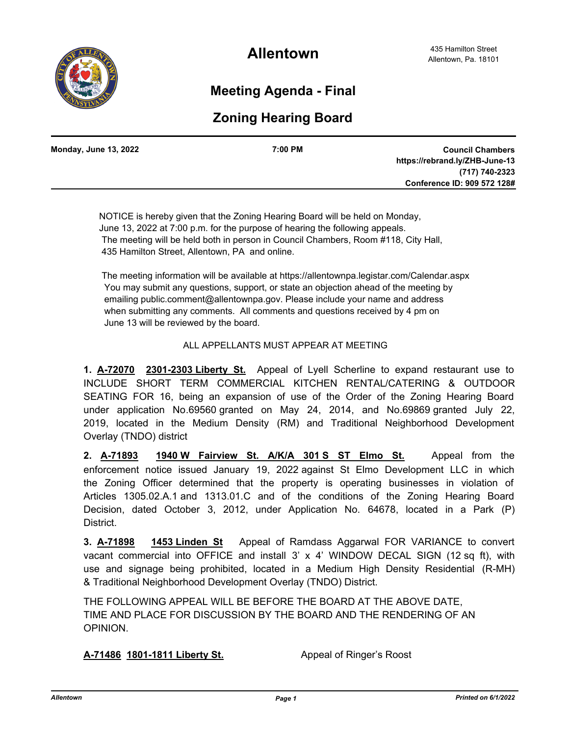

**Allentown**

## **Meeting Agenda - Final**

## **Zoning Hearing Board**

| <b>Monday, June 13, 2022</b> | 7:00 PM | <b>Council Chambers</b>        |
|------------------------------|---------|--------------------------------|
|                              |         | https://rebrand.ly/ZHB-June-13 |
|                              |         | (717) 740-2323                 |
|                              |         | Conference ID: 909 572 128#    |
|                              |         |                                |

 NOTICE is hereby given that the Zoning Hearing Board will be held on Monday, June 13, 2022 at 7:00 p.m. for the purpose of hearing the following appeals. The meeting will be held both in person in Council Chambers, Room #118, City Hall, 435 Hamilton Street, Allentown, PA and online.

 The meeting information will be available at https://allentownpa.legistar.com/Calendar.aspx You may submit any questions, support, or state an objection ahead of the meeting by emailing public.comment@allentownpa.gov. Please include your name and address when submitting any comments. All comments and questions received by 4 pm on June 13 will be reviewed by the board.

## ALL APPELLANTS MUST APPEAR AT MEETING

**1. A-72070 2301-2303 Liberty St.** Appeal of Lyell Scherline to expand restaurant use to INCLUDE SHORT TERM COMMERCIAL KITCHEN RENTAL/CATERING & OUTDOOR SEATING FOR 16, being an expansion of use of the Order of the Zoning Hearing Board under application No.69560 granted on May 24, 2014, and No.69869 granted July 22, 2019, located in the Medium Density (RM) and Traditional Neighborhood Development Overlay (TNDO) district

**2. A-71893 1940 W Fairview St. A/K/A 301 S ST Elmo St.** Appeal from the enforcement notice issued January 19, 2022 against St Elmo Development LLC in which the Zoning Officer determined that the property is operating businesses in violation of Articles 1305.02.A.1 and 1313.01.C and of the conditions of the Zoning Hearing Board Decision, dated October 3, 2012, under Application No. 64678, located in a Park (P) District.

**3. A-71898 1453 Linden St** Appeal of Ramdass Aggarwal FOR VARIANCE to convert vacant commercial into OFFICE and install 3' x 4' WINDOW DECAL SIGN (12 sq ft), with use and signage being prohibited, located in a Medium High Density Residential (R-MH) & Traditional Neighborhood Development Overlay (TNDO) District.

THE FOLLOWING APPEAL WILL BE BEFORE THE BOARD AT THE ABOVE DATE, TIME AND PLACE FOR DISCUSSION BY THE BOARD AND THE RENDERING OF AN OPINION.

**A-71486 1801-1811 Liberty St.** Appeal of Ringer's Roost